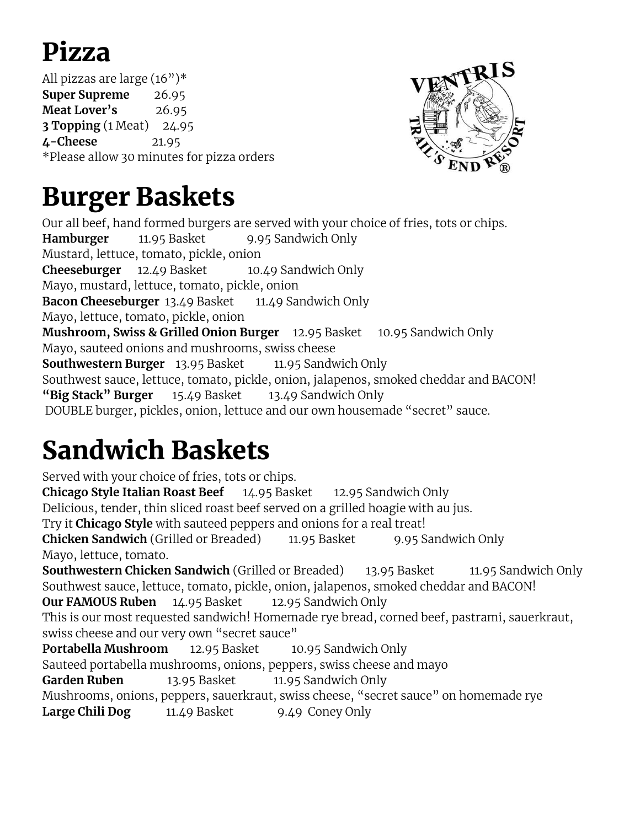### Pizza

All pizzas are large (16")\* **Super Supreme** 26.95 **Meat Lover's** 26.95 **3 Topping** (1 Meat) 24.95 **4-Cheese** 21.95 \*Please allow 30 minutes for pizza orders



#### Burger Baskets

Our all beef, hand formed burgers are served with your choice of fries, tots or chips. **Hamburger** 11.95 Basket 9.95 Sandwich Only Mustard, lettuce, tomato, pickle, onion **Cheeseburger** 12.49 Basket 10.49 Sandwich Only Mayo, mustard, lettuce, tomato, pickle, onion **Bacon Cheeseburger** 13.49 Basket 11.49 Sandwich Only Mayo, lettuce, tomato, pickle, onion **Mushroom, Swiss & Grilled Onion Burger** 12.95 Basket 10.95 Sandwich Only Mayo, sauteed onions and mushrooms, swiss cheese **Southwestern Burger** 13.95 Basket 11.95 Sandwich Only Southwest sauce, lettuce, tomato, pickle, onion, jalapenos, smoked cheddar and BACON! **"Big Stack" Burger** 15.49 Basket 13.49 Sandwich Only DOUBLE burger, pickles, onion, lettuce and our own housemade "secret" sauce.

### Sandwich Baskets

Served with your choice of fries, tots or chips. **Chicago Style Italian Roast Beef** 14.95 Basket 12.95 Sandwich Only Delicious, tender, thin sliced roast beef served on a grilled hoagie with au jus. Try it **Chicago Style** with sauteed peppers and onions for a real treat! **Chicken Sandwich** (Grilled or Breaded) 11.95 Basket 9.95 Sandwich Only Mayo, lettuce, tomato. **Southwestern Chicken Sandwich** (Grilled or Breaded) 13.95 Basket 11.95 Sandwich Only Southwest sauce, lettuce, tomato, pickle, onion, jalapenos, smoked cheddar and BACON! **Our FAMOUS Ruben** 14.95 Basket 12.95 Sandwich Only This is our most requested sandwich! Homemade rye bread, corned beef, pastrami, sauerkraut, swiss cheese and our very own "secret sauce" **Portabella Mushroom** 12.95 Basket 10.95 Sandwich Only Sauteed portabella mushrooms, onions, peppers, swiss cheese and mayo Garden Ruben 13.95 Basket 11.95 Sandwich Only Mushrooms, onions, peppers, sauerkraut, swiss cheese, "secret sauce" on homemade rye **Large Chili Dog** 11.49 Basket 9.49 Coney Only